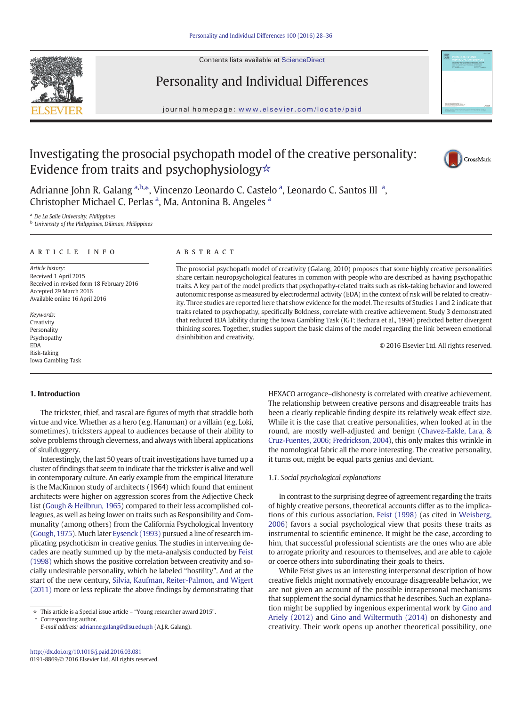Contents lists available at ScienceDirect



Personality and Individual Differences

journal homepage: <www.elsevier.com/locate/paid>



# Investigating the prosocial psychopath model of the creative personality: Evidence from traits and psychophysiology☆



Adrianne John R. Galang <sup>a,b,\*</sup>, Vincenzo Leonardo C. Castelo <sup>a</sup>, Leonardo C. Santos III<sup>a</sup>, Christopher Michael C. Perlas<sup>a</sup>, Ma. Antonina B. Angeles<sup>a</sup>

<sup>a</sup> De La Salle University, Philippines

**b** University of the Philippines, Diliman, Philippines

#### article info abstract

Article history: Received 1 April 2015 Received in revised form 18 February 2016 Accepted 29 March 2016 Available online 16 April 2016

Keywords: Creativity Personality Psychopathy EDA Risk-taking Iowa Gambling Task

The prosocial psychopath model of creativity (Galang, 2010) proposes that some highly creative personalities share certain neuropsychological features in common with people who are described as having psychopathic traits. A key part of the model predicts that psychopathy-related traits such as risk-taking behavior and lowered autonomic response as measured by electrodermal activity (EDA) in the context of risk will be related to creativity. Three studies are reported here that show evidence for the model. The results of Studies 1 and 2 indicate that traits related to psychopathy, specifically Boldness, correlate with creative achievement. Study 3 demonstrated that reduced EDA lability during the Iowa Gambling Task (IGT; Bechara et al., 1994) predicted better divergent thinking scores. Together, studies support the basic claims of the model regarding the link between emotional disinhibition and creativity.

© 2016 Elsevier Ltd. All rights reserved.

# 1. Introduction

The trickster, thief, and rascal are figures of myth that straddle both virtue and vice. Whether as a hero (e.g. Hanuman) or a villain (e.g. Loki, sometimes), tricksters appeal to audiences because of their ability to solve problems through cleverness, and always with liberal applications of skullduggery.

Interestingly, the last 50 years of trait investigations have turned up a cluster of findings that seem to indicate that the trickster is alive and well in contemporary culture. An early example from the empirical literature is the MacKinnon study of architects (1964) which found that eminent architects were higher on aggression scores from the Adjective Check List [\(Gough & Heilbrun, 1965\)](#page--1-0) compared to their less accomplished colleagues, as well as being lower on traits such as Responsibility and Communality (among others) from the California Psychological Inventory [\(Gough, 1975](#page--1-0)). Much later [Eysenck \(1993\)](#page--1-0) pursued a line of research implicating psychoticism in creative genius. The studies in intervening decades are neatly summed up by the meta-analysis conducted by [Feist](#page--1-0) [\(1998\)](#page--1-0) which shows the positive correlation between creativity and socially undesirable personality, which he labeled "hostility". And at the start of the new century, [Silvia, Kaufman, Reiter-Palmon, and Wigert](#page--1-0) [\(2011\)](#page--1-0) more or less replicate the above findings by demonstrating that

⁎ Corresponding author.

HEXACO arrogance–dishonesty is correlated with creative achievement. The relationship between creative persons and disagreeable traits has been a clearly replicable finding despite its relatively weak effect size. While it is the case that creative personalities, when looked at in the round, are mostly well-adjusted and benign [\(Chavez-Eakle, Lara, &](#page--1-0) [Cruz-Fuentes, 2006; Fredrickson, 2004\)](#page--1-0), this only makes this wrinkle in the nomological fabric all the more interesting. The creative personality, it turns out, might be equal parts genius and deviant.

### 1.1. Social psychological explanations

In contrast to the surprising degree of agreement regarding the traits of highly creative persons, theoretical accounts differ as to the implications of this curious association. [Feist \(1998\)](#page--1-0) (as cited in [Weisberg,](#page--1-0) [2006](#page--1-0)) favors a social psychological view that posits these traits as instrumental to scientific eminence. It might be the case, according to him, that successful professional scientists are the ones who are able to arrogate priority and resources to themselves, and are able to cajole or coerce others into subordinating their goals to theirs.

While Feist gives us an interesting interpersonal description of how creative fields might normatively encourage disagreeable behavior, we are not given an account of the possible intrapersonal mechanisms that supplement the social dynamics that he describes. Such an explanation might be supplied by ingenious experimental work by [Gino and](#page--1-0) [Ariely \(2012\)](#page--1-0) and [Gino and Wiltermuth \(2014\)](#page--1-0) on dishonesty and creativity. Their work opens up another theoretical possibility, one

<sup>☆</sup> This article is a Special issue article – "Young researcher award 2015".

E-mail address: [adrianne.galang@dlsu.edu.ph](mailto:adrianne.galang@dlsu.edu.ph) (A.J.R. Galang).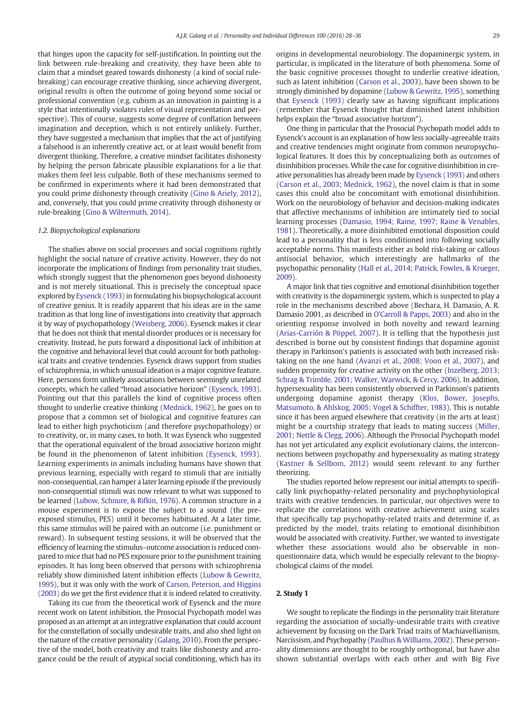that hinges upon the capacity for self-justification. In pointing out the link between rule-breaking and creativity, they have been able to claim that a mindset geared towards dishonesty (a kind of social rulebreaking) can encourage creative thinking, since achieving divergent, original results is often the outcome of going beyond some social or professional convention (e.g. cubism as an innovation in painting is a style that intentionally violates rules of visual representation and perspective). This of course, suggests some degree of conflation between imagination and deception, which is not entirely unlikely. Further, they have suggested a mechanism that implies that the act of justifying a falsehood is an inherently creative act, or at least would benefit from divergent thinking. Therefore, a creative mindset facilitates dishonesty by helping the person fabricate plausible explanations for a lie that makes them feel less culpable. Both of these mechanisms seemed to be confirmed in experiments where it had been demonstrated that you could prime dishonesty through creativity [\(Gino & Ariely, 2012](#page--1-0)), and, conversely, that you could prime creativity through dishonesty or rule-breaking [\(Gino & Wiltermuth, 2014](#page--1-0)).

## 1.2. Biopsychological explanations

The studies above on social processes and social cognitions rightly highlight the social nature of creative activity. However, they do not incorporate the implications of findings from personality trait studies, which strongly suggest that the phenomenon goes beyond dishonesty and is not merely situational. This is precisely the conceptual space explored by [Eysenck \(1993\)](#page--1-0) in formulating his biopsychological account of creative genius. It is readily apparent that his ideas are in the same tradition as that long line of investigations into creativity that approach it by way of psychopathology ([Weisberg, 2006\)](#page--1-0). Eysenck makes it clear that he does not think that mental disorder produces or is necessary for creativity. Instead, he puts forward a dispositional lack of inhibition at the cognitive and behavioral level that could account for both pathological traits and creative tendencies. Eysenck draws support from studies of schizophrenia, in which unusual ideation is a major cognitive feature. Here, persons form unlikely associations between seemingly unrelated concepts, which he called "broad associative horizon" [\(Eysenck, 1993](#page--1-0)). Pointing out that this parallels the kind of cognitive process often thought to underlie creative thinking ([Mednick, 1962](#page--1-0)), he goes on to propose that a common set of biological and cognitive features can lead to either high psychoticism (and therefore psychopathology) or to creativity, or, in many cases, to both. It was Eysenck who suggested that the operational equivalent of the broad associative horizon might be found in the phenomenon of latent inhibition ([Eysenck, 1993](#page--1-0)). Learning experiments in animals including humans have shown that previous learning, especially with regard to stimuli that are initially non-consequential, can hamper a later learning episode if the previously non-consequential stimuli was now relevant to what was supposed to be learned ([Lubow, Schnure, & Rifkin, 1976](#page--1-0)). A common structure in a mouse experiment is to expose the subject to a sound (the preexposed stimulus, PES) until it becomes habituated. At a later time, this same stimulus will be paired with an outcome (i.e. punishment or reward). In subsequent testing sessions, it will be observed that the efficiency of learning the stimulus–outcome association is reduced compared to mice that had no PES exposure prior to the punishment training episodes. It has long been observed that persons with schizophrenia reliably show diminished latent inhibition effects [\(Lubow & Gewritz,](#page--1-0) [1995\)](#page--1-0), but it was only with the work of [Carson, Peterson, and Higgins](#page--1-0) [\(2003\)](#page--1-0) do we get the first evidence that it is indeed related to creativity.

Taking its cue from the theoretical work of Eysenck and the more recent work on latent inhibition, the Prosocial Psychopath model was proposed as an attempt at an integrative explanation that could account for the constellation of socially undesirable traits, and also shed light on the nature of the creative personality [\(Galang, 2010\)](#page--1-0). From the perspective of the model, both creativity and traits like dishonesty and arrogance could be the result of atypical social conditioning, which has its origins in developmental neurobiology. The dopaminergic system, in particular, is implicated in the literature of both phenomena. Some of the basic cognitive processes thought to underlie creative ideation, such as latent inhibition ([Carson et al., 2003](#page--1-0)), have been shown to be strongly diminished by dopamine ([Lubow & Gewritz, 1995\)](#page--1-0), something that [Eysenck \(1993\)](#page--1-0) clearly saw as having significant implications (remember that Eysenck thought that diminished latent inhibition helps explain the "broad associative horizon").

One thing in particular that the Prosocial Psychopath model adds to Eysenck's account is an explanation of how less socially-agreeable traits and creative tendencies might originate from common neuropsychological features. It does this by conceptualizing both as outcomes of disinhibition processes. While the case for cognitive disinhibition in creative personalities has already been made by [Eysenck \(1993\)](#page--1-0) and others [\(Carson et al., 2003; Mednick, 1962\)](#page--1-0), the novel claim is that in some cases this could also be concomitant with emotional disinhibition. Work on the neurobiology of behavior and decision-making indicates that affective mechanisms of inhibition are intimately tied to social learning processes [\(Damasio, 1994; Raine, 1997; Raine & Venables,](#page--1-0) [1981\)](#page--1-0). Theoretically, a more disinhibited emotional disposition could lead to a personality that is less conditioned into following socially acceptable norms. This manifests either as bold risk-taking or callous antisocial behavior, which interestingly are hallmarks of the psychopathic personality ([Hall et al., 2014; Patrick, Fowles, & Krueger,](#page--1-0) [2009](#page--1-0)).

A major link that ties cognitive and emotional disinhibition together with creativity is the dopaminergic system, which is suspected to play a role in the mechanisms described above (Bechara, H. Damasio, A. R. Damasio 2001, as described in [O'Carroll & Papps, 2003\)](#page--1-0) and also in the orienting response involved in both novelty and reward learning [\(Arias-Carrión & Pöppel, 2007](#page--1-0)). It is telling that the hypothesis just described is borne out by consistent findings that dopamine agonist therapy in Parkinson's patients is associated with both increased risktaking on the one hand [\(Avanzi et al., 2008; Voon et al., 2007\)](#page--1-0), and sudden propensity for creative activity on the other [\(Inzelberg, 2013;](#page--1-0) [Schrag & Trimble, 2001; Walker, Warwick, & Cercy, 2006](#page--1-0)). In addition, hypersexuality has been consistently observed in Parkinson's patients undergoing dopamine agonist therapy [\(Klos, Bower, Josephs,](#page--1-0) [Matsumoto, & Ahlskog, 2005; Vogel & Schiffter, 1983\)](#page--1-0). This is notable since it has been argued elsewhere that creativity (in the arts at least) might be a courtship strategy that leads to mating success ([Miller,](#page--1-0) [2001; Nettle & Clegg, 2006\)](#page--1-0). Although the Prosocial Psychopath model has not yet articulated any explicit evolutionary claims, the interconnections between psychopathy and hypersexuality as mating strategy [\(Kastner & Sellbom, 2012](#page--1-0)) would seem relevant to any further theorizing.

The studies reported below represent our initial attempts to specifically link psychopathy-related personality and psychophysiological traits with creative tendencies. In particular, our objectives were to replicate the correlations with creative achievement using scales that specifically tap psychopathy-related traits and determine if, as predicted by the model, traits relating to emotional disinhibition would be associated with creativity. Further, we wanted to investigate whether these associations would also be observable in nonquestionnaire data, which would be especially relevant to the biopsychological claims of the model.

# 2. Study 1

We sought to replicate the findings in the personality trait literature regarding the association of socially-undesirable traits with creative achievement by focusing on the Dark Triad traits of Machiavellianism, Narcissism, and Psychopathy ([Paulhus & Williams, 2002](#page--1-0)). These personality dimensions are thought to be roughly orthogonal, but have also shown substantial overlaps with each other and with Big Five